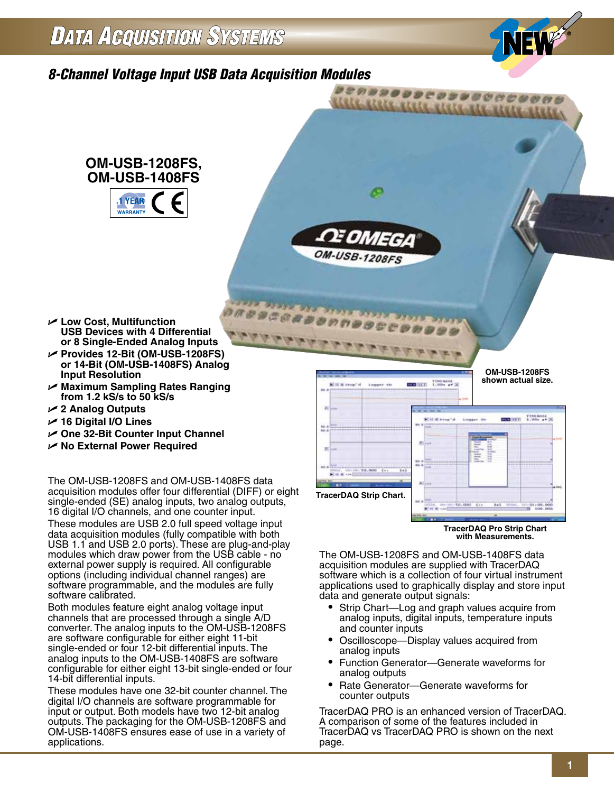### **DATA ACQUISITION SYSTEMS**



### *8-Channel Voltage Input USB Data Acquisition Modules*



The OM-USB-1208FS and OM-USB-1408FS data acquisition modules are supplied with TracerDAQ software which is a collection of four virtual instrument applications used to graphically display and store input data and generate output signals:

- Strip Chart—Log and graph values acquire from analog inputs, digital inputs, temperature inputs and counter inputs
- Oscilloscope—Display values acquired from analog inputs
- Function Generator—Generate waveforms for analog outputs
- Rate Generator—Generate waveforms for counter outputs

TracerDAQ PRO is an enhanced version of TracerDAQ. A comparison of some of the features included in TracerDAQ vs TracerDAQ PRO is shown on the next page.

- U **Low Cost, Multifunction**
- U **Provides 12-Bit (OM-USB-1208FS)**
- U **Maximum Sampling Rates Ranging**
- U **2 Analog Outputs**
- U **16 Digital I/O Lines**
- U **One 32-Bit Counter Input Channel**
- U **No External Power Required**

The OM-USB-1208FS and OM-USB-1408FS data acquisition modules offer four differential (DIFF) or eight single-ended (SE) analog inputs, two analog outputs, 16 digital I/O channels, and one counter input.

These modules are USB 2.0 full speed voltage input data acquisition modules (fully compatible with both USB 1.1 and USB 2.0 ports). These are plug-and-play modules which draw power from the USB cable - no external power supply is required. All configurable options (including individual channel ranges) are software programmable, and the modules are fully software calibrated.

Both modules feature eight analog voltage input channels that are processed through a single A/D converter. The analog inputs to the OM-USB-1208FS are software configurable for either eight 11-bit single-ended or four 12-bit differential inputs. The analog inputs to the OM-USB-1408FS are software configurable for either eight 13-bit single-ended or four 14-bit differential inputs.

These modules have one 32-bit counter channel. The digital I/O channels are software programmable for input or output. Both models have two 12-bit analog outputs. The packaging for the OM-USB-1208FS and OM-USB-1408FS ensures ease of use in a variety of applications.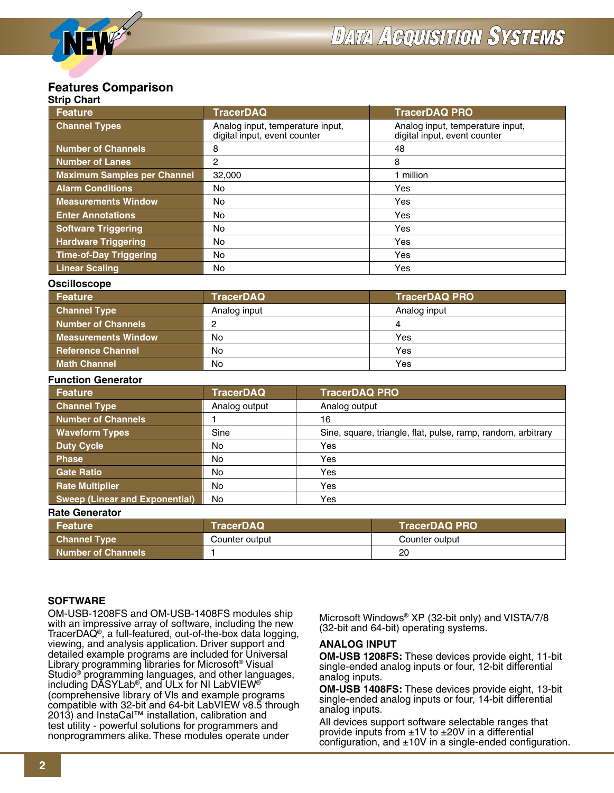#### **Strip Chart Features Comparison**

| əun vilarl                             |                                                                                                                                      |                      |  |
|----------------------------------------|--------------------------------------------------------------------------------------------------------------------------------------|----------------------|--|
| <b>Feature</b>                         | <b>TracerDAQ</b>                                                                                                                     | <b>TracerDAQ PRO</b> |  |
| <b>Channel Types</b>                   | Analog input, temperature input,<br>Analog input, temperature input,<br>digital input, event counter<br>digital input, event counter |                      |  |
| <b>Number of Channels</b>              | 8                                                                                                                                    | 48                   |  |
| <b>Number of Lanes</b>                 | 2                                                                                                                                    | 8                    |  |
| <b>Maximum Samples per Channel</b>     | 32,000                                                                                                                               | 1 million            |  |
| <b>Alarm Conditions</b>                | <b>No</b>                                                                                                                            | Yes                  |  |
| <b>Measurements Window</b>             | <b>No</b>                                                                                                                            | Yes                  |  |
| <b>Enter Annotations</b>               | <b>No</b>                                                                                                                            | Yes                  |  |
| <b>Software Triggering</b>             | No                                                                                                                                   | Yes                  |  |
| <b>Hardware Triggering</b>             | No                                                                                                                                   | Yes                  |  |
| <b>Time-of-Day Triggering</b>          | Yes<br>No                                                                                                                            |                      |  |
| <b>Linear Scaling</b>                  | Yes<br>No                                                                                                                            |                      |  |
| <b>Oscilloscope</b>                    |                                                                                                                                      |                      |  |
| <b>Feature</b>                         | <b>TracerDAQ</b>                                                                                                                     | <b>TracerDAQ PRO</b> |  |
| <b>Channel Type</b>                    | Analog input<br>Analog input                                                                                                         |                      |  |
| <b>Number of Channels</b>              | 2<br>4                                                                                                                               |                      |  |
| <b>Measurements Window</b>             | <b>No</b><br>Yes                                                                                                                     |                      |  |
| <b>Reference Channel</b><br>No.<br>Yes |                                                                                                                                      |                      |  |

### **Function Generator**

| anvuon acherator<br><b>Feature</b> | <b>TracerDAQ</b> | <b>TracerDAQ PRO</b>                                         |
|------------------------------------|------------------|--------------------------------------------------------------|
| <b>Channel Type</b>                | Analog output    | Analog output                                                |
| Number of Channels                 |                  | 16                                                           |
| <b>Waveform Types</b>              | Sine             | Sine, square, triangle, flat, pulse, ramp, random, arbitrary |
| <b>Duty Cycle</b>                  | No               | Yes                                                          |
| <b>Phase</b>                       | No.              | Yes                                                          |
| <b>Gate Ratio</b>                  | No               | Yes                                                          |
| <b>Rate Multiplier</b>             | No               | Yes                                                          |
| Sweep (Linear and Exponential)     | No.              | Yes                                                          |

**Math Channel No No Yes** 

### **Rate Generator**

| $\sim$              |                  |                      |  |  |
|---------------------|------------------|----------------------|--|--|
| Feature             | <b>TracerDAQ</b> | <b>TracerDAQ PRO</b> |  |  |
| <b>Channel Type</b> | Counter output   | Counter output       |  |  |
| Number of Channels  |                  | 20                   |  |  |

### **SOFTWARE**

OM-USB-1208FS and OM-USB-1408FS modules ship with an impressive array of software, including the new TracerDAQ®, a full-featured, out-of-the-box data logging, viewing, and analysis application. Driver support and detailed example programs are included for Universal Library programming libraries for Microsoft® Visual Studio<sup>®</sup> programming languages, and other languages, including DASYLab®, and ULx for NI LabVIEW® (comprehensive library of Vls and example programs compatible with 32-bit and 64-bit LabVIEW v8.5 through 2013) and InstaCal™ installation, calibration and test utility - powerful solutions for programmers and nonprogrammers alike. These modules operate under

Microsoft Windows® XP (32-bit only) and VISTA/7/8 (32-bit and 64-bit) operating systems.

### **ANALOG INPUT**

**OM-USB 1208FS:** These devices provide eight, 11-bit single-ended analog inputs or four, 12-bit differential analog inputs.

**OM-USB 1408FS:** These devices provide eight, 13-bit single-ended analog inputs or four, 14-bit differential analog inputs.

All devices support software selectable ranges that provide inputs from  $\pm$ 1V to  $\pm$ 20V in a differential configuration, and  $\pm 10V$  in a single-ended configuration.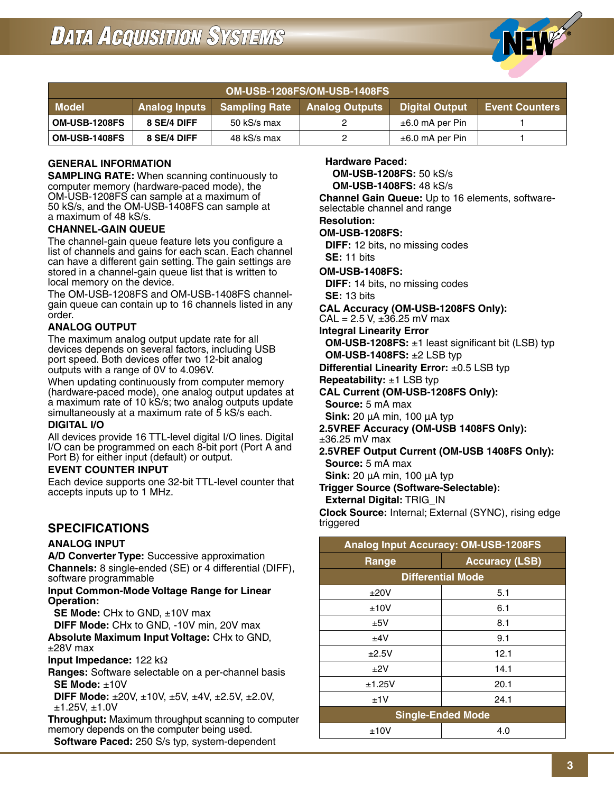

| OM-USB-1208FS/OM-USB-1408FS                                                                                     |             |             |  |                      |  |
|-----------------------------------------------------------------------------------------------------------------|-------------|-------------|--|----------------------|--|
| <b>Sampling Rate Analog Outputs</b><br><b>Model</b><br>Digital Output<br>Analog Inputs<br><b>Event Counters</b> |             |             |  |                      |  |
| <b>OM-USB-1208FS</b>                                                                                            | 8 SE/4 DIFF | 50 kS/s max |  | $\pm 6.0$ mA per Pin |  |
| <b>OM-USB-1408FS</b>                                                                                            | 8 SE/4 DIFF | 48 kS/s max |  | $\pm 6.0$ mA per Pin |  |

### **GENERAL INFORMATION**

**SAMPLING RATE:** When scanning continuously to computer memory (hardware-paced mode), the OM-USB-1208FS can sample at a maximum of 50 kS/s, and the OM-USB-1408FS can sample at a maximum of 48 kS/s.

### **CHANNEL-GAIN QUEUE**

The channel-gain queue feature lets you configure a list of channels and gains for each scan. Each channel can have a different gain setting. The gain settings are stored in a channel-gain queue list that is written to local memory on the device.

The OM-USB-1208FS and OM-USB-1408FS channelgain queue can contain up to 16 channels listed in any order.

### **ANALOG OUTPUT**

The maximum analog output update rate for all devices depends on several factors, including USB port speed. Both devices offer two 12-bit analog outputs with a range of 0V to 4.096V.

When updating continuously from computer memory (hardware-paced mode), one analog output updates at a maximum rate of 10 kS/s; two analog outputs update simultaneously at a maximum rate of 5 kS/s each.

### **DIGITAL I/O**

All devices provide 16 TTL-level digital I/O lines. Digital I/O can be programmed on each 8-bit port (Port A and Port B) for either input (default) or output.

### **EVENT COUNTER INPUT**

Each device supports one 32-bit TTL-level counter that accepts inputs up to 1 MHz.

### **SPECIFICATIONS**

### **ANALOG INPUT**

**A/D Converter Type:** Successive approximation **Channels:** 8 single-ended (SE) or 4 differential (DIFF), software programmable

**Input Common-Mode Voltage Range for Linear Operation:**

**SE Mode:** CHx to GND, ±10V max

**DIFF Mode:** CHx to GND, -10V min, 20V max

**Absolute Maximum Input Voltage:** CHx to GND, ±28V max

**Input Impedance:** 122 kΩ

**Ranges:** Software selectable on a per-channel basis **SE Mode:** ±10V

 **DIFF Mode:** ±20V, ±10V, ±5V, ±4V, ±2.5V, ±2.0V, ±1.25V, ±1.0V

**Throughput:** Maximum throughput scanning to computer memory depends on the computer being used.

**Software Paced:** 250 S/s typ, system-dependent

### **Hardware Paced:**

**OM-USB-1208FS:** 50 kS/s

**OM-USB-1408FS:** 48 kS/s

**Channel Gain Queue:** Up to 16 elements, softwareselectable channel and range

#### **Resolution:**

**OM-USB-1208FS:**

**DIFF:** 12 bits, no missing codes **SE:** 11 bits

**OM-USB-1408FS:**

**DIFF:** 14 bits, no missing codes **SE:** 13 bits

**CAL Accuracy (OM-USB-1208FS Only):**

 $CAL = 2.5 V, \pm 36.25 mV$  max

**Integral Linearity Error**

**OM-USB-1208FS:** ±1 least significant bit (LSB) typ **OM-USB-1408FS:** ±2 LSB typ

**Differential Linearity Error:** ±0.5 LSB typ

**Repeatability:** ±1 LSB typ

**CAL Current (OM-USB-1208FS Only):**

**Source:** 5 mA max

**Sink:** 20 μA min, 100 μA typ

**2.5VREF Accuracy (OM-USB 1408FS Only):**

±36.25 mV max

**2.5VREF Output Current (OM-USB 1408FS Only): Source:** 5 mA max

**Sink:** 20 μA min, 100 μA typ

**Trigger Source (Software-Selectable):**

**External Digital:** TRIG\_IN

**Clock Source:** Internal; External (SYNC), rising edge triggered

| <b>Analog Input Accuracy: OM-USB-1208FS</b> |                          |  |  |
|---------------------------------------------|--------------------------|--|--|
| <b>Accuracy (LSB)</b><br>Range              |                          |  |  |
|                                             | <b>Differential Mode</b> |  |  |
| ±20V                                        | 5.1                      |  |  |
| ±10V                                        | 6.1                      |  |  |
| ±5V                                         | 8.1                      |  |  |
| ±4V                                         | 9.1                      |  |  |
| ±2.5V                                       | 12.1                     |  |  |
| $+2V$                                       | 14.1                     |  |  |
| ±1.25V                                      | 20.1                     |  |  |
| ±1V                                         | 24.1                     |  |  |
|                                             | <b>Single-Ended Mode</b> |  |  |
| ±10V                                        | 4.0                      |  |  |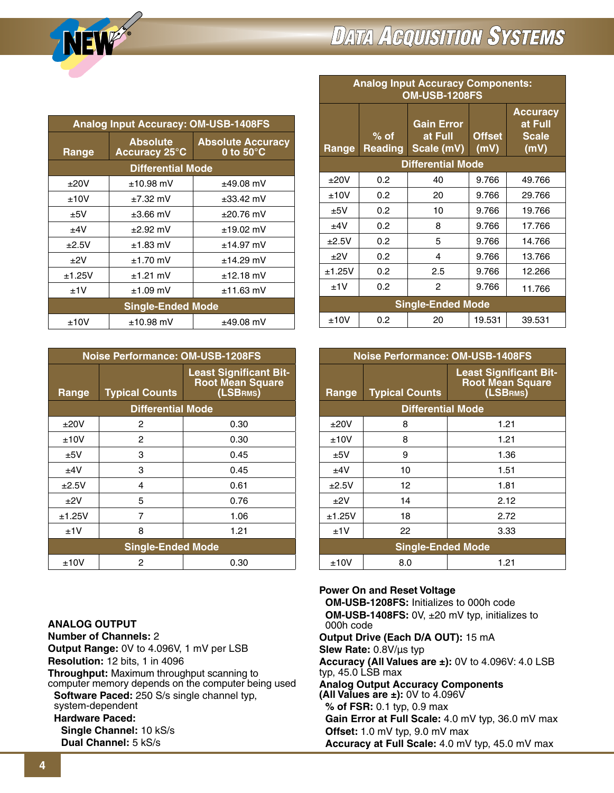

## **DATA ACQUISITION SYSTEMS**

**Analog Input Accuracy Components:**

| <b>Analog Input Accuracy: OM-USB-1408FS</b>                                                         |               |                |  |  |
|-----------------------------------------------------------------------------------------------------|---------------|----------------|--|--|
| <b>Absolute</b><br><b>Absolute Accuracy</b><br><b>Accuracy 25°C</b><br>0 to $50^{\circ}$ C<br>Range |               |                |  |  |
| <b>Differential Mode</b>                                                                            |               |                |  |  |
| ±20V                                                                                                | $±10.98$ mV   | $±49.08$ mV    |  |  |
| ±10V                                                                                                | $+7.32$ mV    | $\pm$ 33.42 mV |  |  |
| ±5V                                                                                                 | $\pm 3.66$ mV | $+20.76$ mV    |  |  |
| ±4V                                                                                                 | $\pm 2.92$ mV | $±19.02$ mV    |  |  |
| ±2.5V                                                                                               | $±1.83$ mV    | $+14.97$ mV    |  |  |
| $+2V$                                                                                               | $±1.70$ mV    | $±14.29$ mV    |  |  |
| ±1.25V                                                                                              | $±1.21$ mV    | $±12.18$ mV    |  |  |
| ±1V                                                                                                 | $±1.09$ mV    | $±11.63$ mV    |  |  |
| <b>Single-Ended Mode</b>                                                                            |               |                |  |  |
| ±10V                                                                                                | $±10.98$ mV   | $±49.08$ mV    |  |  |

| <b>Noise Performance: OM-USB-1208FS</b> |                                                                                               |      |  |
|-----------------------------------------|-----------------------------------------------------------------------------------------------|------|--|
| Range                                   | <b>Least Significant Bit-</b><br><b>Root Mean Square</b><br>(LSBRMS)<br><b>Typical Counts</b> |      |  |
|                                         | <b>Differential Mode</b>                                                                      |      |  |
| ±20V                                    | 2                                                                                             | 0.30 |  |
| ±10V                                    | 2                                                                                             | 0.30 |  |
| ±5V                                     | 3                                                                                             | 0.45 |  |
| ±4V                                     | 3                                                                                             | 0.45 |  |
| ±2.5V                                   | 4                                                                                             | 0.61 |  |
| ±2V                                     | 5                                                                                             | 0.76 |  |
| ±1.25V                                  | 7                                                                                             | 1.06 |  |
| ±1V                                     | 8                                                                                             | 1.21 |  |
| <b>Single-Ended Mode</b>                |                                                                                               |      |  |
| ±10V                                    | 2                                                                                             | 0.30 |  |

### **ANALOG OUTPUT**

**Number of Channels:** 2 **Output Range:** 0V to 4.096V, 1 mV per LSB **Resolution:** 12 bits, 1 in 4096 **Throughput:** Maximum throughput scanning to computer memory depends on the computer being used  **Software Paced:** 250 S/s single channel typ, system-dependent **Hardware Paced: Single Channel:** 10 kS/s  **Dual Channel:** 5 kS/s

| <b>OM-USB-1208FS</b> |                          |                                            |                       |                                                    |
|----------------------|--------------------------|--------------------------------------------|-----------------------|----------------------------------------------------|
| Range                | $%$ of<br><b>Reading</b> | <b>Gain Error</b><br>at Full<br>Scale (mV) | <b>Offset</b><br>(mV) | <b>Accuracy</b><br>at Full<br><b>Scale</b><br>(mV) |
|                      |                          | <b>Differential Mode</b>                   |                       |                                                    |
| ±20V                 | 0.2                      | 40                                         | 9.766                 | 49.766                                             |
| ±10V                 | 0.2                      | 20                                         | 9.766                 | 29.766                                             |
| ±5V                  | 0.2                      | 10                                         | 9.766                 | 19.766                                             |
| ±4V                  | 0.2                      | 8                                          | 9.766                 | 17.766                                             |
| ±2.5V                | 0.2                      | 5                                          | 9.766                 | 14.766                                             |
| ±2V                  | 0.2                      | 4                                          | 9.766                 | 13.766                                             |
| ±1.25V               | 0.2                      | 2.5                                        | 9.766                 | 12.266                                             |
| ±1V                  | 0.2                      | 2                                          | 9.766                 | 11.766                                             |
|                      | <b>Single-Ended Mode</b> |                                            |                       |                                                    |
| ±10V                 | 0.2                      | 20                                         | 19.531                | 39.531                                             |

| <b>Noise Performance: OM-USB-1408FS</b> |                          |                                                                      |  |
|-----------------------------------------|--------------------------|----------------------------------------------------------------------|--|
| Range                                   | <b>Typical Counts</b>    | <b>Least Significant Bit-</b><br><b>Root Mean Square</b><br>(LSBRMS) |  |
|                                         | <b>Differential Mode</b> |                                                                      |  |
| ±20V                                    | 8                        | 1.21                                                                 |  |
| ±10V                                    | 8                        | 1.21                                                                 |  |
| ±5V                                     | 9                        | 1.36                                                                 |  |
| ±4V                                     | 10                       | 1.51                                                                 |  |
| ±2.5V                                   | 12                       | 1.81                                                                 |  |
| $+2V$                                   | 14                       | 2.12                                                                 |  |
| ±1.25V                                  | 18                       | 2.72                                                                 |  |
| ±1V                                     | 22                       | 3.33                                                                 |  |
| <b>Single-Ended Mode</b>                |                          |                                                                      |  |
| ±10V                                    | 8.0                      | 1.21                                                                 |  |

### **Power On and Reset Voltage**

**OM-USB-1208FS:** Initializes to 000h code  **OM-USB-1408FS:** 0V, ±20 mV typ, initializes to 000h code **Output Drive (Each D/A OUT):** 15 mA **Slew Rate:** 0.8V/μs typ **Accuracy (All Values are ±):** 0V to 4.096V: 4.0 LSB typ, 45.0 LSB max **Analog Output Accuracy Components (All Values are ±):** 0V to 4.096V **% of FSR:** 0.1 typ, 0.9 max **Gain Error at Full Scale:** 4.0 mV typ, 36.0 mV max **Offset:** 1.0 mV typ, 9.0 mV max **Accuracy at Full Scale:** 4.0 mV typ, 45.0 mV max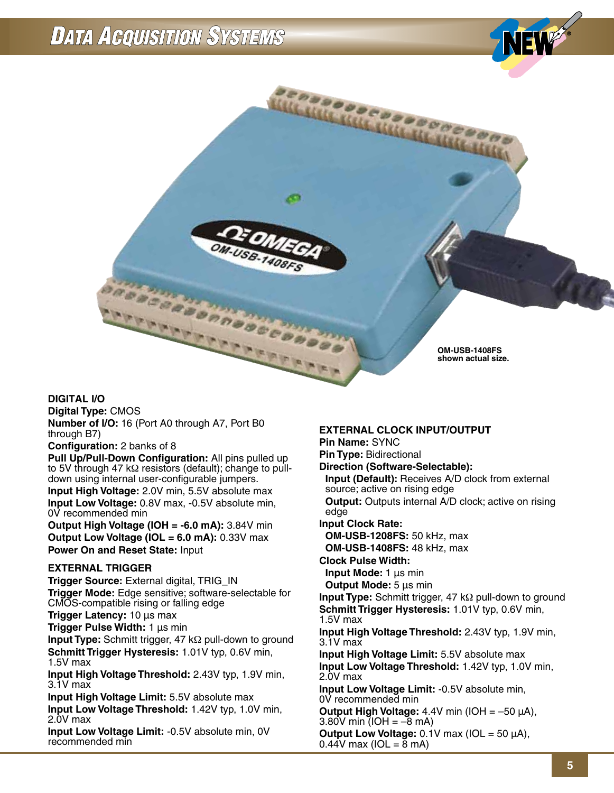## **DATA ACQUISITION SYSTEMS**



### **DIGITAL I/O**

**Digital Type:** CMOS **Number of I/O:** 16 (Port A0 through A7, Port B0 through B7)

### **Configuration:** 2 banks of 8

**Pull Up/Pull-Down Configuration:** All pins pulled up to 5V through 47 kΩ resistors (default); change to pulldown using internal user-configurable jumpers. **Input High Voltage:** 2.0V min, 5.5V absolute max **Input Low Voltage:** 0.8V max, -0.5V absolute min, 0V recommended min

**Output High Voltage (IOH = -6.0 mA):** 3.84V min **Output Low Voltage (IOL = 6.0 mA):** 0.33V max **Power On and Reset State:** Input

### **EXTERNAL TRIGGER**

**Trigger Source:** External digital, TRIG\_IN **Trigger Mode:** Edge sensitive; software-selectable for CMOS-compatible rising or falling edge

**Trigger Latency:** 10 μs max

**Trigger Pulse Width:** 1 μs min

**Input Type:** Schmitt trigger, 47 kΩ pull-down to ground **Schmitt Trigger Hysteresis:** 1.01V typ, 0.6V min, 1.5V max

**Input High Voltage Threshold:** 2.43V typ, 1.9V min, 3.1V max

**Input High Voltage Limit:** 5.5V absolute max **Input Low Voltage Threshold:** 1.42V typ, 1.0V min, 2.0V max

**Input Low Voltage Limit:** -0.5V absolute min, 0V recommended min

#### **EXTERNAL CLOCK INPUT/OUTPUT**

**Pin Name:** SYNC

**Pin Type:** Bidirectional

**Direction (Software-Selectable):**

 **Input (Default):** Receives A/D clock from external source; active on rising edge

**Output:** Outputs internal A/D clock; active on rising edge

**Input Clock Rate:**

**OM-USB-1208FS:** 50 kHz, max **OM-USB-1408FS:** 48 kHz, max

**Clock Pulse Width:**

**Input Mode:** 1 μs min

**Output Mode:** 5 μs min

**Input Type:** Schmitt trigger, 47 kΩ pull-down to ground **Schmitt Trigger Hysteresis:** 1.01V typ, 0.6V min, 1.5V max

**Input High Voltage Threshold:** 2.43V typ, 1.9V min, 3.1V max

**Input High Voltage Limit:** 5.5V absolute max **Input Low Voltage Threshold:** 1.42V typ, 1.0V min, 2.0V max

**Input Low Voltage Limit:** -0.5V absolute min, 0V recommended min

**Output High Voltage:** 4.4V min (IOH = –50 μA), 3.80V min  $(IOH = -8$  mA)

**Output Low Voltage:** 0.1V max (IOL = 50 μA),  $0.44V$  max (IOL =  $\overline{8}$  mA)